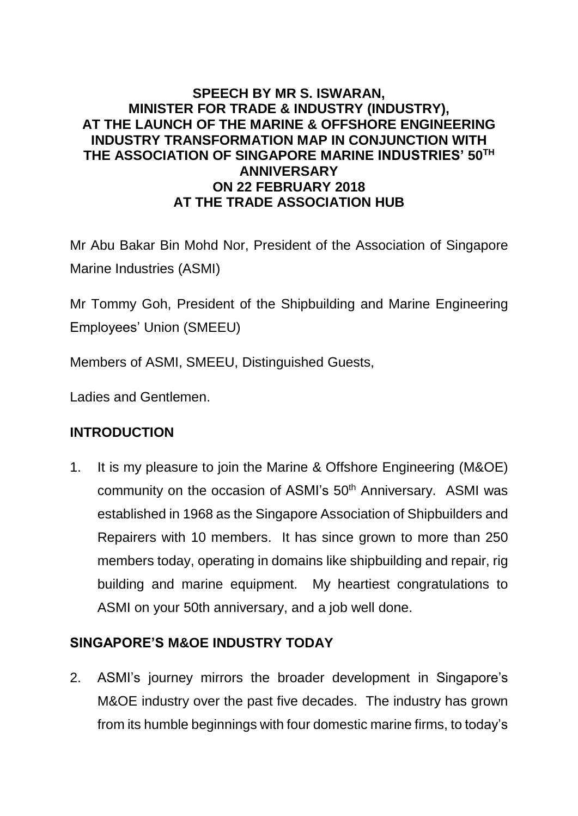#### **SPEECH BY MR S. ISWARAN, MINISTER FOR TRADE & INDUSTRY (INDUSTRY), AT THE LAUNCH OF THE MARINE & OFFSHORE ENGINEERING INDUSTRY TRANSFORMATION MAP IN CONJUNCTION WITH THE ASSOCIATION OF SINGAPORE MARINE INDUSTRIES' 50TH ANNIVERSARY ON 22 FEBRUARY 2018 AT THE TRADE ASSOCIATION HUB**

Mr Abu Bakar Bin Mohd Nor, President of the Association of Singapore Marine Industries (ASMI)

Mr Tommy Goh, President of the Shipbuilding and Marine Engineering Employees' Union (SMEEU)

Members of ASMI, SMEEU, Distinguished Guests,

Ladies and Gentlemen.

### **INTRODUCTION**

1. It is my pleasure to join the Marine & Offshore Engineering (M&OE) community on the occasion of ASMI's 50<sup>th</sup> Anniversary. ASMI was established in 1968 as the Singapore Association of Shipbuilders and Repairers with 10 members. It has since grown to more than 250 members today, operating in domains like shipbuilding and repair, rig building and marine equipment. My heartiest congratulations to ASMI on your 50th anniversary, and a job well done.

### **SINGAPORE'S M&OE INDUSTRY TODAY**

2. ASMI's journey mirrors the broader development in Singapore's M&OE industry over the past five decades. The industry has grown from its humble beginnings with four domestic marine firms, to today's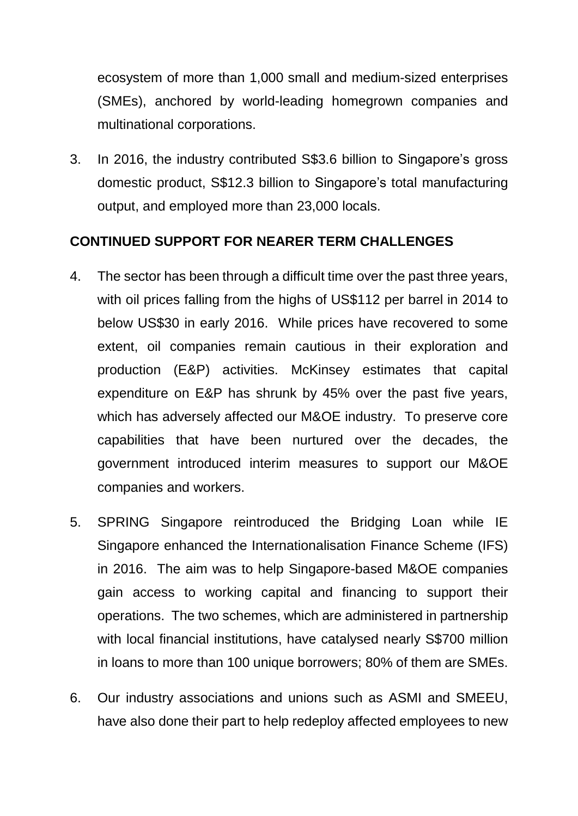ecosystem of more than 1,000 small and medium-sized enterprises (SMEs), anchored by world-leading homegrown companies and multinational corporations.

3. In 2016, the industry contributed S\$3.6 billion to Singapore's gross domestic product, S\$12.3 billion to Singapore's total manufacturing output, and employed more than 23,000 locals.

### **CONTINUED SUPPORT FOR NEARER TERM CHALLENGES**

- 4. The sector has been through a difficult time over the past three years, with oil prices falling from the highs of US\$112 per barrel in 2014 to below US\$30 in early 2016. While prices have recovered to some extent, oil companies remain cautious in their exploration and production (E&P) activities. McKinsey estimates that capital expenditure on E&P has shrunk by 45% over the past five years, which has adversely affected our M&OE industry. To preserve core capabilities that have been nurtured over the decades, the government introduced interim measures to support our M&OE companies and workers.
- 5. SPRING Singapore reintroduced the Bridging Loan while IE Singapore enhanced the Internationalisation Finance Scheme (IFS) in 2016. The aim was to help Singapore-based M&OE companies gain access to working capital and financing to support their operations. The two schemes, which are administered in partnership with local financial institutions, have catalysed nearly S\$700 million in loans to more than 100 unique borrowers; 80% of them are SMEs.
- 6. Our industry associations and unions such as ASMI and SMEEU, have also done their part to help redeploy affected employees to new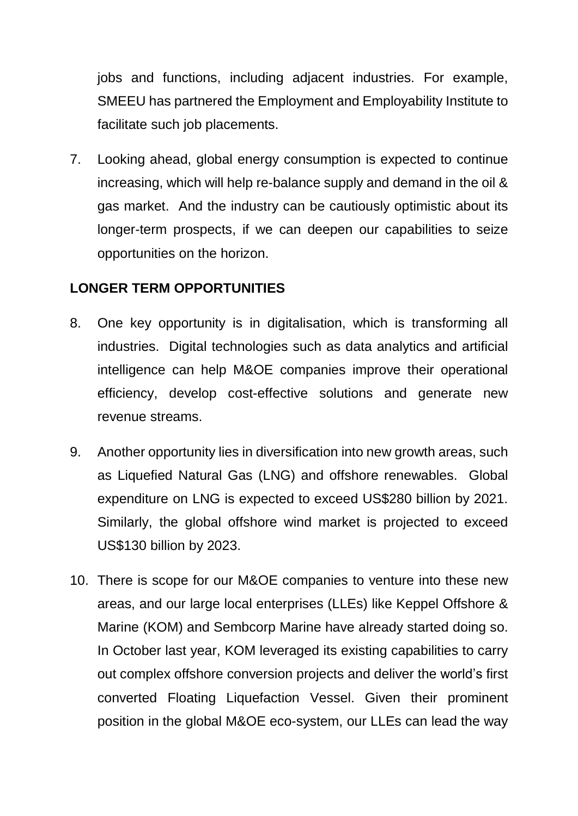jobs and functions, including adjacent industries. For example, SMEEU has partnered the Employment and Employability Institute to facilitate such job placements.

7. Looking ahead, global energy consumption is expected to continue increasing, which will help re-balance supply and demand in the oil & gas market. And the industry can be cautiously optimistic about its longer-term prospects, if we can deepen our capabilities to seize opportunities on the horizon.

### **LONGER TERM OPPORTUNITIES**

- 8. One key opportunity is in digitalisation, which is transforming all industries. Digital technologies such as data analytics and artificial intelligence can help M&OE companies improve their operational efficiency, develop cost-effective solutions and generate new revenue streams.
- 9. Another opportunity lies in diversification into new growth areas, such as Liquefied Natural Gas (LNG) and offshore renewables. Global expenditure on LNG is expected to exceed US\$280 billion by 2021. Similarly, the global offshore wind market is projected to exceed US\$130 billion by 2023.
- 10. There is scope for our M&OE companies to venture into these new areas, and our large local enterprises (LLEs) like Keppel Offshore & Marine (KOM) and Sembcorp Marine have already started doing so. In October last year, KOM leveraged its existing capabilities to carry out complex offshore conversion projects and deliver the world's first converted Floating Liquefaction Vessel. Given their prominent position in the global M&OE eco-system, our LLEs can lead the way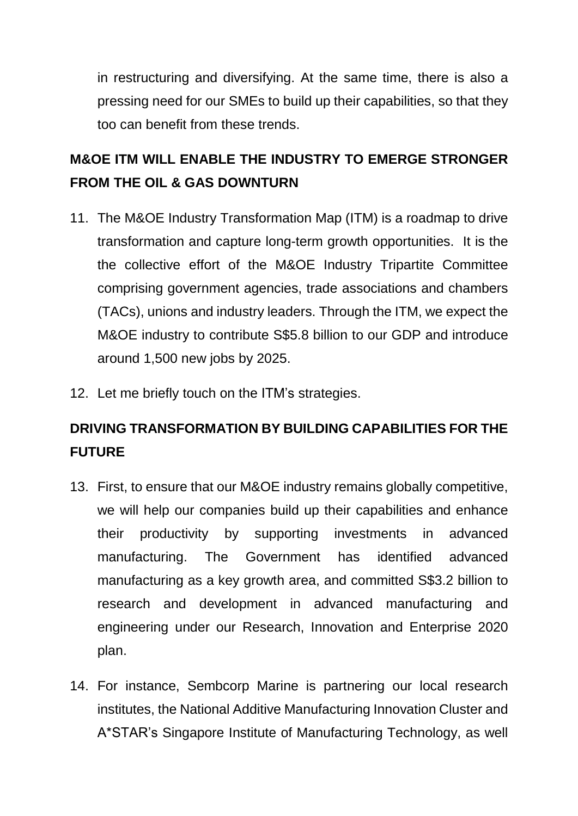in restructuring and diversifying. At the same time, there is also a pressing need for our SMEs to build up their capabilities, so that they too can benefit from these trends.

# **M&OE ITM WILL ENABLE THE INDUSTRY TO EMERGE STRONGER FROM THE OIL & GAS DOWNTURN**

- 11. The M&OE Industry Transformation Map (ITM) is a roadmap to drive transformation and capture long-term growth opportunities. It is the the collective effort of the M&OE Industry Tripartite Committee comprising government agencies, trade associations and chambers (TACs), unions and industry leaders. Through the ITM, we expect the M&OE industry to contribute S\$5.8 billion to our GDP and introduce around 1,500 new jobs by 2025.
- 12. Let me briefly touch on the ITM's strategies.

# **DRIVING TRANSFORMATION BY BUILDING CAPABILITIES FOR THE FUTURE**

- 13. First, to ensure that our M&OE industry remains globally competitive, we will help our companies build up their capabilities and enhance their productivity by supporting investments in advanced manufacturing. The Government has identified advanced manufacturing as a key growth area, and committed S\$3.2 billion to research and development in advanced manufacturing and engineering under our Research, Innovation and Enterprise 2020 plan.
- 14. For instance, Sembcorp Marine is partnering our local research institutes, the National Additive Manufacturing Innovation Cluster and A\*STAR's Singapore Institute of Manufacturing Technology, as well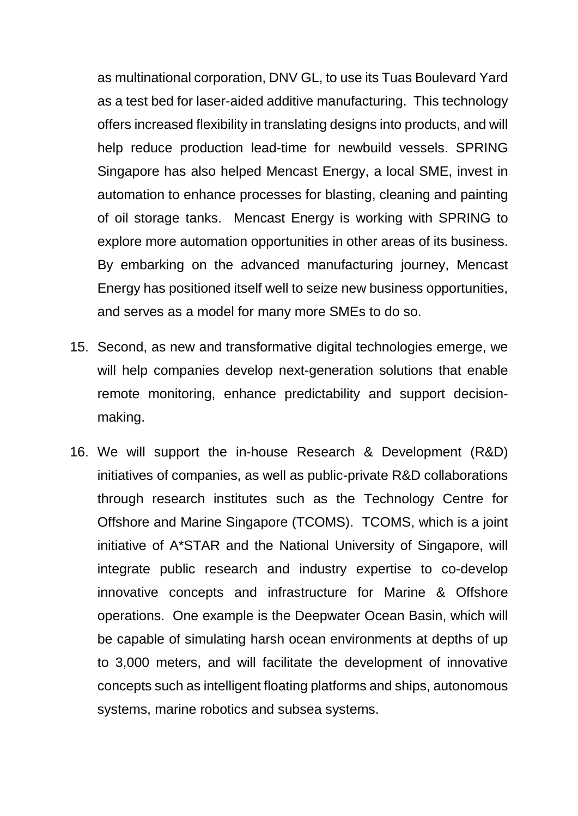as multinational corporation, DNV GL, to use its Tuas Boulevard Yard as a test bed for laser-aided additive manufacturing. This technology offers increased flexibility in translating designs into products, and will help reduce production lead-time for newbuild vessels. SPRING Singapore has also helped Mencast Energy, a local SME, invest in automation to enhance processes for blasting, cleaning and painting of oil storage tanks. Mencast Energy is working with SPRING to explore more automation opportunities in other areas of its business. By embarking on the advanced manufacturing journey, Mencast Energy has positioned itself well to seize new business opportunities, and serves as a model for many more SMEs to do so.

- 15. Second, as new and transformative digital technologies emerge, we will help companies develop next-generation solutions that enable remote monitoring, enhance predictability and support decisionmaking.
- 16. We will support the in-house Research & Development (R&D) initiatives of companies, as well as public-private R&D collaborations through research institutes such as the Technology Centre for Offshore and Marine Singapore (TCOMS). TCOMS, which is a joint initiative of A\*STAR and the National University of Singapore, will integrate public research and industry expertise to co-develop innovative concepts and infrastructure for Marine & Offshore operations. One example is the Deepwater Ocean Basin, which will be capable of simulating harsh ocean environments at depths of up to 3,000 meters, and will facilitate the development of innovative concepts such as intelligent floating platforms and ships, autonomous systems, marine robotics and subsea systems.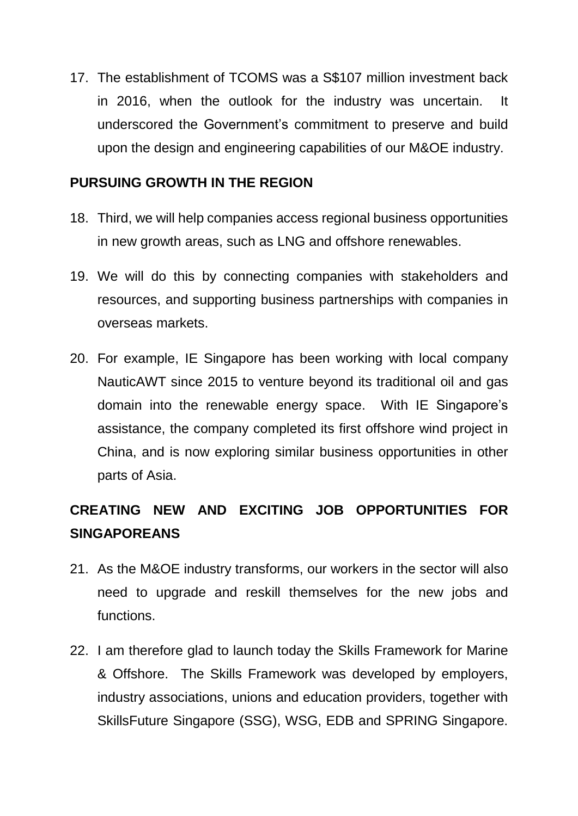17. The establishment of TCOMS was a S\$107 million investment back in 2016, when the outlook for the industry was uncertain. It underscored the Government's commitment to preserve and build upon the design and engineering capabilities of our M&OE industry.

#### **PURSUING GROWTH IN THE REGION**

- 18. Third, we will help companies access regional business opportunities in new growth areas, such as LNG and offshore renewables.
- 19. We will do this by connecting companies with stakeholders and resources, and supporting business partnerships with companies in overseas markets.
- 20. For example, IE Singapore has been working with local company NauticAWT since 2015 to venture beyond its traditional oil and gas domain into the renewable energy space. With IE Singapore's assistance, the company completed its first offshore wind project in China, and is now exploring similar business opportunities in other parts of Asia.

# **CREATING NEW AND EXCITING JOB OPPORTUNITIES FOR SINGAPOREANS**

- 21. As the M&OE industry transforms, our workers in the sector will also need to upgrade and reskill themselves for the new jobs and functions.
- 22. I am therefore glad to launch today the Skills Framework for Marine & Offshore. The Skills Framework was developed by employers, industry associations, unions and education providers, together with SkillsFuture Singapore (SSG), WSG, EDB and SPRING Singapore.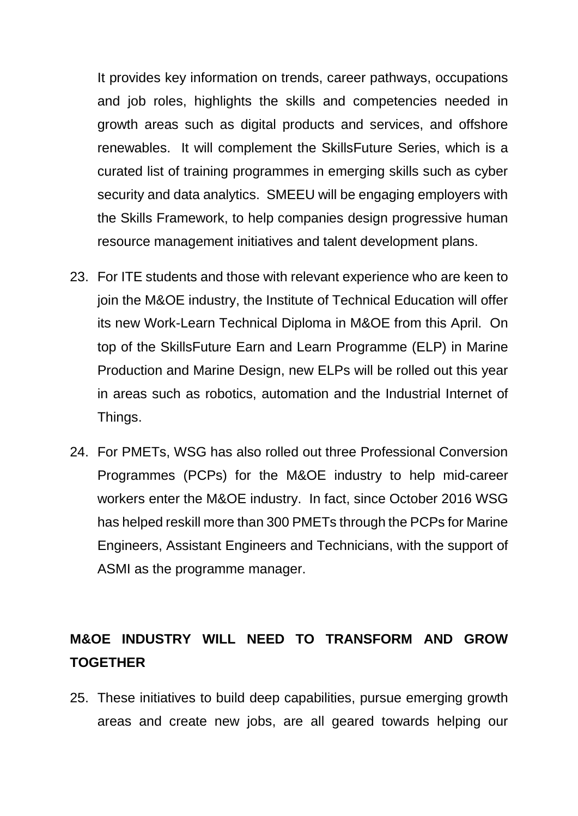It provides key information on trends, career pathways, occupations and job roles, highlights the skills and competencies needed in growth areas such as digital products and services, and offshore renewables. It will complement the SkillsFuture Series, which is a curated list of training programmes in emerging skills such as cyber security and data analytics. SMEEU will be engaging employers with the Skills Framework, to help companies design progressive human resource management initiatives and talent development plans.

- 23. For ITE students and those with relevant experience who are keen to join the M&OE industry, the Institute of Technical Education will offer its new Work-Learn Technical Diploma in M&OE from this April. On top of the SkillsFuture Earn and Learn Programme (ELP) in Marine Production and Marine Design, new ELPs will be rolled out this year in areas such as robotics, automation and the Industrial Internet of Things.
- 24. For PMETs, WSG has also rolled out three Professional Conversion Programmes (PCPs) for the M&OE industry to help mid-career workers enter the M&OE industry. In fact, since October 2016 WSG has helped reskill more than 300 PMETs through the PCPs for Marine Engineers, Assistant Engineers and Technicians, with the support of ASMI as the programme manager.

### **M&OE INDUSTRY WILL NEED TO TRANSFORM AND GROW TOGETHER**

25. These initiatives to build deep capabilities, pursue emerging growth areas and create new jobs, are all geared towards helping our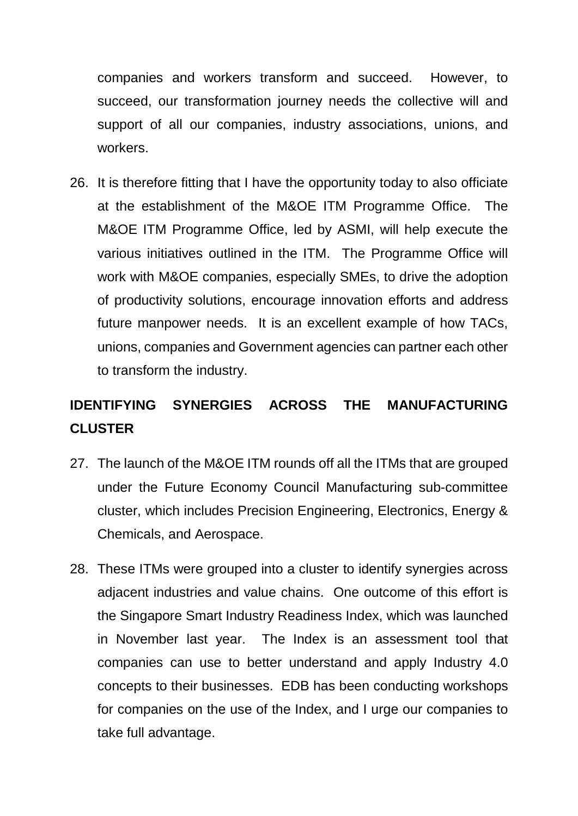companies and workers transform and succeed. However, to succeed, our transformation journey needs the collective will and support of all our companies, industry associations, unions, and workers.

26. It is therefore fitting that I have the opportunity today to also officiate at the establishment of the M&OE ITM Programme Office. The M&OE ITM Programme Office, led by ASMI, will help execute the various initiatives outlined in the ITM. The Programme Office will work with M&OE companies, especially SMEs, to drive the adoption of productivity solutions, encourage innovation efforts and address future manpower needs. It is an excellent example of how TACs, unions, companies and Government agencies can partner each other to transform the industry.

# **IDENTIFYING SYNERGIES ACROSS THE MANUFACTURING CLUSTER**

- 27. The launch of the M&OE ITM rounds off all the ITMs that are grouped under the Future Economy Council Manufacturing sub-committee cluster, which includes Precision Engineering, Electronics, Energy & Chemicals, and Aerospace.
- 28. These ITMs were grouped into a cluster to identify synergies across adjacent industries and value chains. One outcome of this effort is the Singapore Smart Industry Readiness Index, which was launched in November last year. The Index is an assessment tool that companies can use to better understand and apply Industry 4.0 concepts to their businesses. EDB has been conducting workshops for companies on the use of the Index, and I urge our companies to take full advantage.